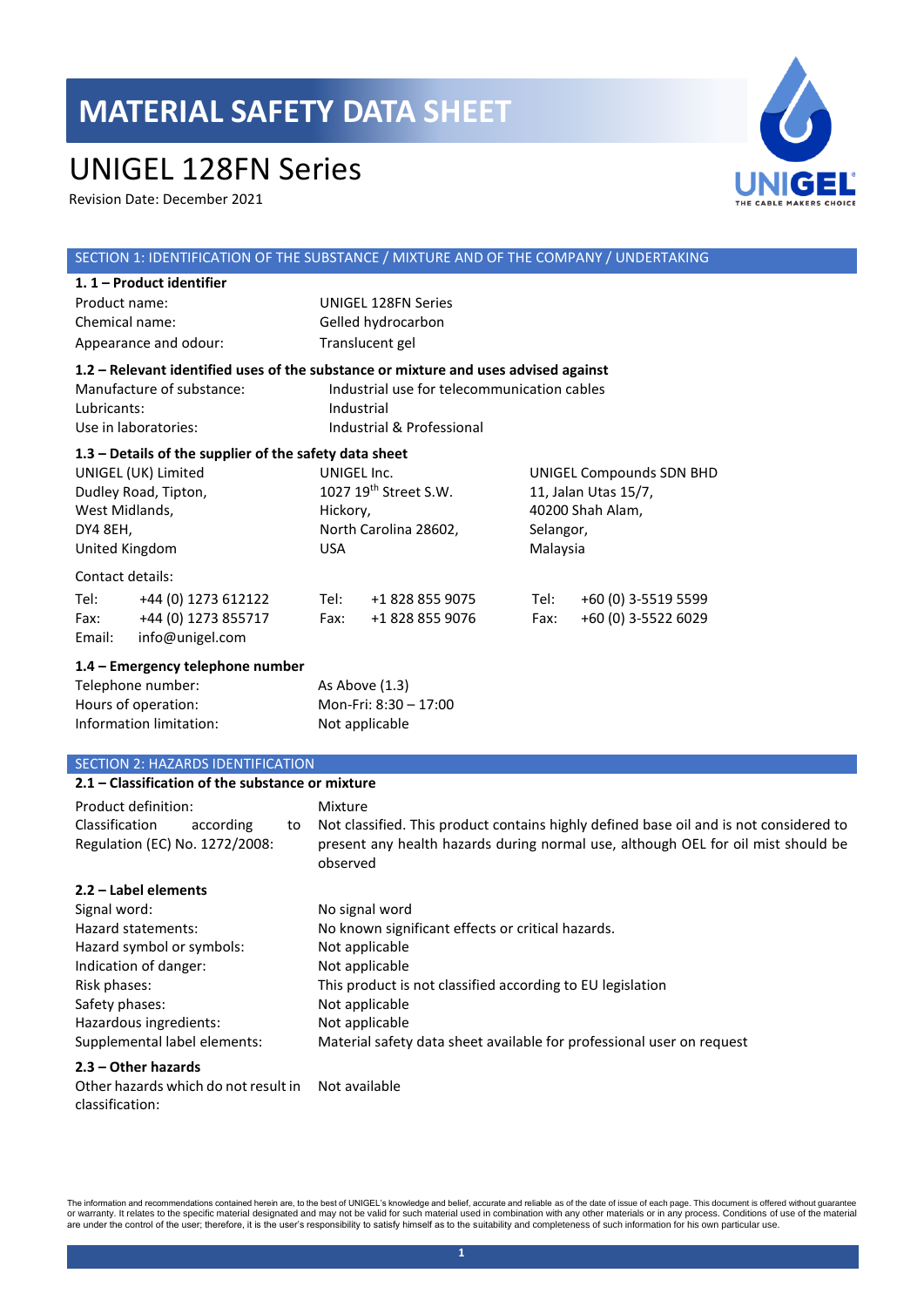## UNIGEL 128FN Series

Revision Date: December 2021



#### SECTION 1: IDENTIFICATION OF THE SUBSTANCE / MIXTURE AND OF THE COMPANY / UNDERTAKING **1. 1 – Product identifier**  Product name: UNIGEL 128FN Series Chemical name: Gelled hydrocarbon Appearance and odour: Translucent gel **1.2 – Relevant identified uses of the substance or mixture and uses advised against** Manufacture of substance: Industrial use for telecommunication cables Lubricants: Industrial Use in laboratories: Industrial & Professional **1.3 – Details of the supplier of the safety data sheet** UNIGEL (UK) Limited Dudley Road, Tipton, West Midlands, DY4 8EH, United Kingdom UNIGEL Inc. 1027 19th Street S.W. Hickory, North Carolina 28602, USA UNIGEL Compounds SDN BHD 11, Jalan Utas 15/7, 40200 Shah Alam, Selangor, Malaysia Contact details: Tel: +44 (0) 1273 612122 Tel: +1 828 855 9075 Tel: +60 (0) 3-5519 5599 Fax: +44 (0) 1273 855717 Fax: +1 828 855 9076 Fax: +60 (0) 3-5522 6029 Email: info@unigel.com **1.4 – Emergency telephone number** Telephone number: As Above (1.3) Hours of operation: Mon-Fri: 8:30 – 17:00 Information limitation: Not applicable SECTION 2: HAZARDS IDENTIFICATION **2.1 – Classification of the substance or mixture** Product definition: Mixture Classification according to Regulation (EC) No. 1272/2008: Not classified. This product contains highly defined base oil and is not considered to present any health hazards during normal use, although OEL for oil mist should be observed

## **2.2 – Label elements**

| Signal word:                 | No signal word                                                        |
|------------------------------|-----------------------------------------------------------------------|
| Hazard statements:           | No known significant effects or critical hazards.                     |
| Hazard symbol or symbols:    | Not applicable                                                        |
| Indication of danger:        | Not applicable                                                        |
| Risk phases:                 | This product is not classified according to EU legislation            |
| Safety phases:               | Not applicable                                                        |
| Hazardous ingredients:       | Not applicable                                                        |
| Supplemental label elements: | Material safety data sheet available for professional user on request |

#### **2.3 – Other hazards**

Other hazards which do not result in Not availableclassification: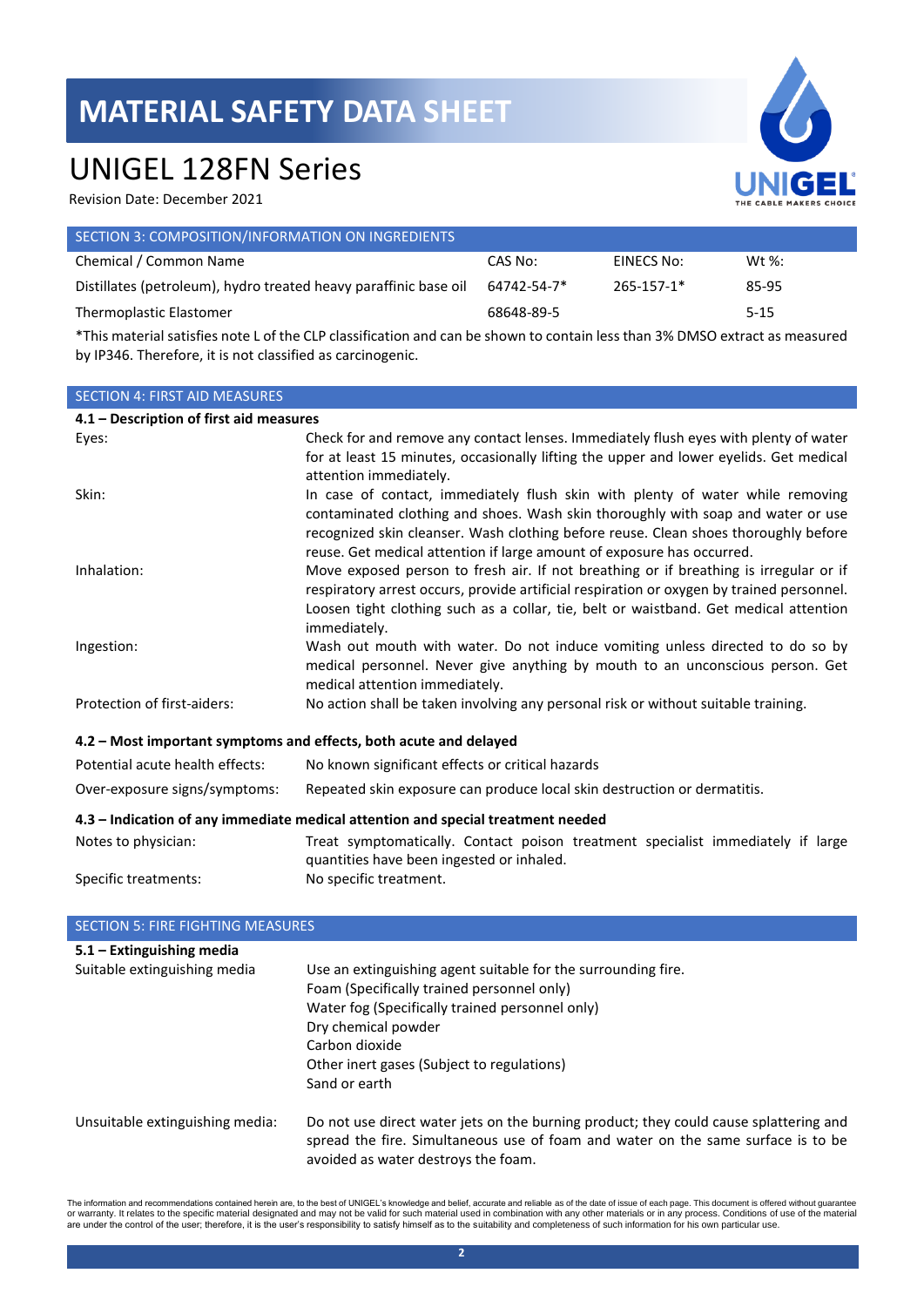## UNIGEL 128FN Series

Revision Date: December 2021

| UNIGEL<br>THE CABLE MAKERS CHOICE |
|-----------------------------------|

| SECTION 3: COMPOSITION/INFORMATION ON INGREDIENTS                |             |            |           |
|------------------------------------------------------------------|-------------|------------|-----------|
| Chemical / Common Name                                           | CAS No:     | EINECS No: | Wt $\%$ : |
| Distillates (petroleum), hydro treated heavy paraffinic base oil | 64742-54-7* | 265-157-1* | 85-95     |
| Thermoplastic Elastomer                                          | 68648-89-5  |            | $5 - 15$  |
|                                                                  |             |            |           |

\*This material satisfies note L of the CLP classification and can be shown to contain less than 3% DMSO extract as measured by IP346. Therefore, it is not classified as carcinogenic.

## SECTION 4: FIRST AID MEASURES **4.1 – Description of first aid measures** Eyes: Check for and remove any contact lenses. Immediately flush eyes with plenty of water for at least 15 minutes, occasionally lifting the upper and lower eyelids. Get medical attention immediately. Skin: Skin: In case of contact, immediately flush skin with plenty of water while removing contaminated clothing and shoes. Wash skin thoroughly with soap and water or use recognized skin cleanser. Wash clothing before reuse. Clean shoes thoroughly before reuse. Get medical attention if large amount of exposure has occurred. Inhalation: Move exposed person to fresh air. If not breathing or if breathing is irregular or if respiratory arrest occurs, provide artificial respiration or oxygen by trained personnel. Loosen tight clothing such as a collar, tie, belt or waistband. Get medical attention immediately. Ingestion: Wash out mouth with water. Do not induce vomiting unless directed to do so by medical personnel. Never give anything by mouth to an unconscious person. Get medical attention immediately. Protection of first-aiders: No action shall be taken involving any personal risk or without suitable training. **4.2 – Most important symptoms and effects, both acute and delayed** Potential acute health effects: No known significant effects or critical hazards Over-exposure signs/symptoms: Repeated skin exposure can produce local skin destruction or dermatitis. **4.3 – Indication of any immediate medical attention and special treatment needed** Notes to physician: Treat symptomatically. Contact poison treatment specialist immediately if large quantities have been ingested or inhaled. Specific treatments: No specific treatment.

## SECTION 5: FIRE FIGHTING MEASURES

| $5.1 -$ Extinguishing media     |                                                                                       |
|---------------------------------|---------------------------------------------------------------------------------------|
| Suitable extinguishing media    | Use an extinguishing agent suitable for the surrounding fire.                         |
|                                 | Foam (Specifically trained personnel only)                                            |
|                                 | Water fog (Specifically trained personnel only)                                       |
|                                 | Dry chemical powder                                                                   |
|                                 | Carbon dioxide                                                                        |
|                                 | Other inert gases (Subject to regulations)                                            |
|                                 | Sand or earth                                                                         |
| Unsuitable extinguishing media: | Do not use direct water jets on the burning product; they could cause splattering and |
|                                 | spread the fire. Simultaneous use of foam and water on the same surface is to be      |
|                                 | avoided as water destroys the foam.                                                   |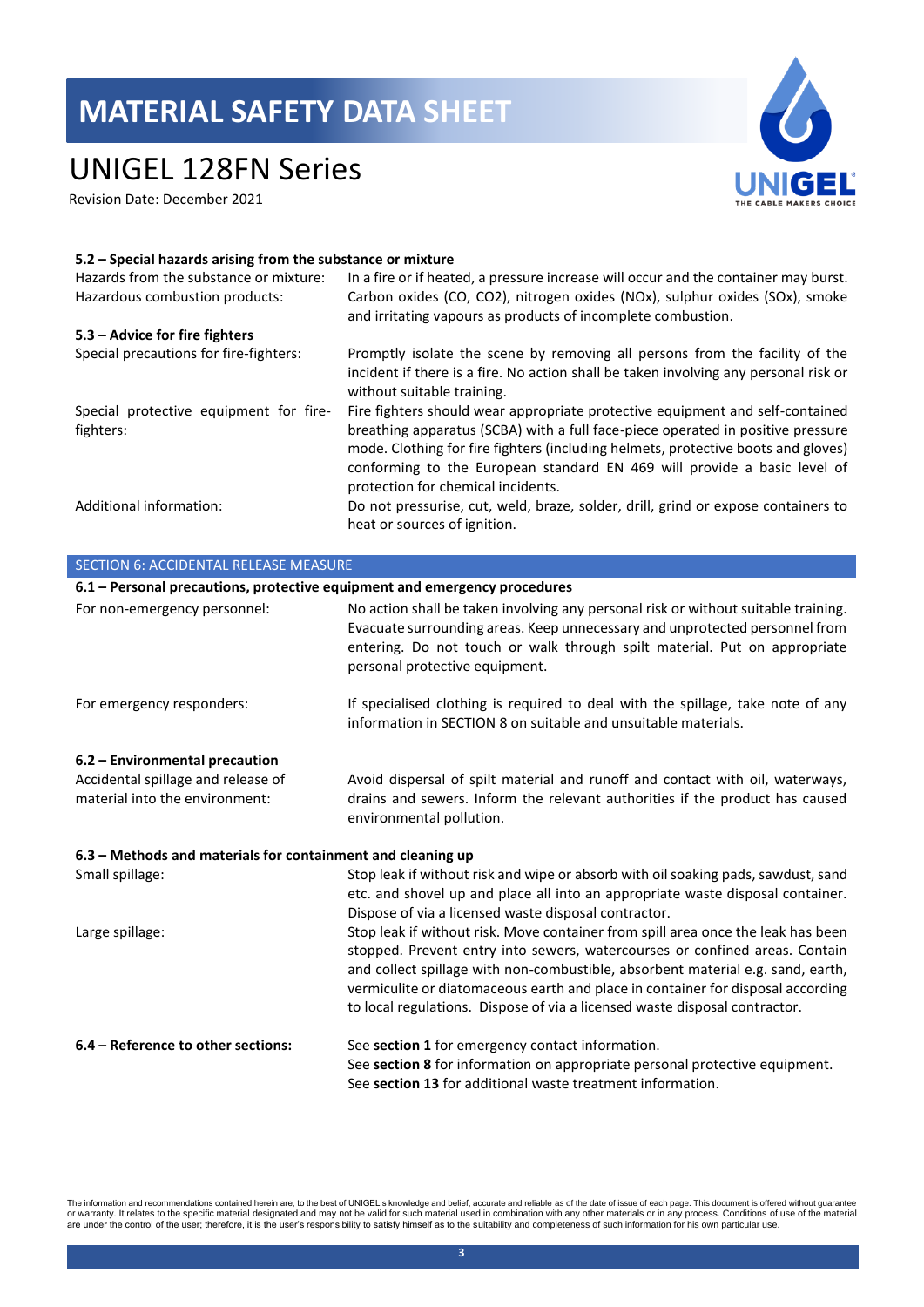## UNIGEL 128FN Series

Revision Date: December 2021



#### **5.2 – Special hazards arising from the substance or mixture**

| Hazards from the substance or mixture:<br>Hazardous combustion products: | In a fire or if heated, a pressure increase will occur and the container may burst.<br>Carbon oxides (CO, CO2), nitrogen oxides (NOx), sulphur oxides (SOx), smoke<br>and irritating vapours as products of incomplete combustion.                                                                                                                                      |
|--------------------------------------------------------------------------|-------------------------------------------------------------------------------------------------------------------------------------------------------------------------------------------------------------------------------------------------------------------------------------------------------------------------------------------------------------------------|
| 5.3 – Advice for fire fighters                                           |                                                                                                                                                                                                                                                                                                                                                                         |
| Special precautions for fire-fighters:                                   | Promptly isolate the scene by removing all persons from the facility of the<br>incident if there is a fire. No action shall be taken involving any personal risk or<br>without suitable training.                                                                                                                                                                       |
| Special protective equipment for fire-<br>fighters:                      | Fire fighters should wear appropriate protective equipment and self-contained<br>breathing apparatus (SCBA) with a full face-piece operated in positive pressure<br>mode. Clothing for fire fighters (including helmets, protective boots and gloves)<br>conforming to the European standard EN 469 will provide a basic level of<br>protection for chemical incidents. |
| Additional information:                                                  | Do not pressurise, cut, weld, braze, solder, drill, grind or expose containers to<br>heat or sources of ignition.                                                                                                                                                                                                                                                       |

| <b>SECTION 6: ACCIDENTAL RELEASE MEASURE</b>                              |                                                                                                                                                                                                                                                                                                                                                                                                                     |  |  |
|---------------------------------------------------------------------------|---------------------------------------------------------------------------------------------------------------------------------------------------------------------------------------------------------------------------------------------------------------------------------------------------------------------------------------------------------------------------------------------------------------------|--|--|
| 6.1 - Personal precautions, protective equipment and emergency procedures |                                                                                                                                                                                                                                                                                                                                                                                                                     |  |  |
| For non-emergency personnel:                                              | No action shall be taken involving any personal risk or without suitable training.<br>Evacuate surrounding areas. Keep unnecessary and unprotected personnel from<br>entering. Do not touch or walk through spilt material. Put on appropriate<br>personal protective equipment.                                                                                                                                    |  |  |
| For emergency responders:                                                 | If specialised clothing is required to deal with the spillage, take note of any<br>information in SECTION 8 on suitable and unsuitable materials.                                                                                                                                                                                                                                                                   |  |  |
| 6.2 - Environmental precaution                                            |                                                                                                                                                                                                                                                                                                                                                                                                                     |  |  |
| Accidental spillage and release of<br>material into the environment:      | Avoid dispersal of spilt material and runoff and contact with oil, waterways,<br>drains and sewers. Inform the relevant authorities if the product has caused<br>environmental pollution.                                                                                                                                                                                                                           |  |  |
| 6.3 – Methods and materials for containment and cleaning up               |                                                                                                                                                                                                                                                                                                                                                                                                                     |  |  |
| Small spillage:                                                           | Stop leak if without risk and wipe or absorb with oil soaking pads, sawdust, sand<br>etc. and shovel up and place all into an appropriate waste disposal container.<br>Dispose of via a licensed waste disposal contractor.                                                                                                                                                                                         |  |  |
| Large spillage:                                                           | Stop leak if without risk. Move container from spill area once the leak has been<br>stopped. Prevent entry into sewers, watercourses or confined areas. Contain<br>and collect spillage with non-combustible, absorbent material e.g. sand, earth,<br>vermiculite or diatomaceous earth and place in container for disposal according<br>to local regulations. Dispose of via a licensed waste disposal contractor. |  |  |
| 6.4 - Reference to other sections:                                        | See section 1 for emergency contact information.<br>See section 8 for information on appropriate personal protective equipment.<br>See section 13 for additional waste treatment information.                                                                                                                                                                                                                       |  |  |

The information and recommendations contained herein are, to the best of UNIGEL's knowledge and belief, accurate and reliable as of the date of issue of each page. This document is offered without guarantee<br>or warranty. It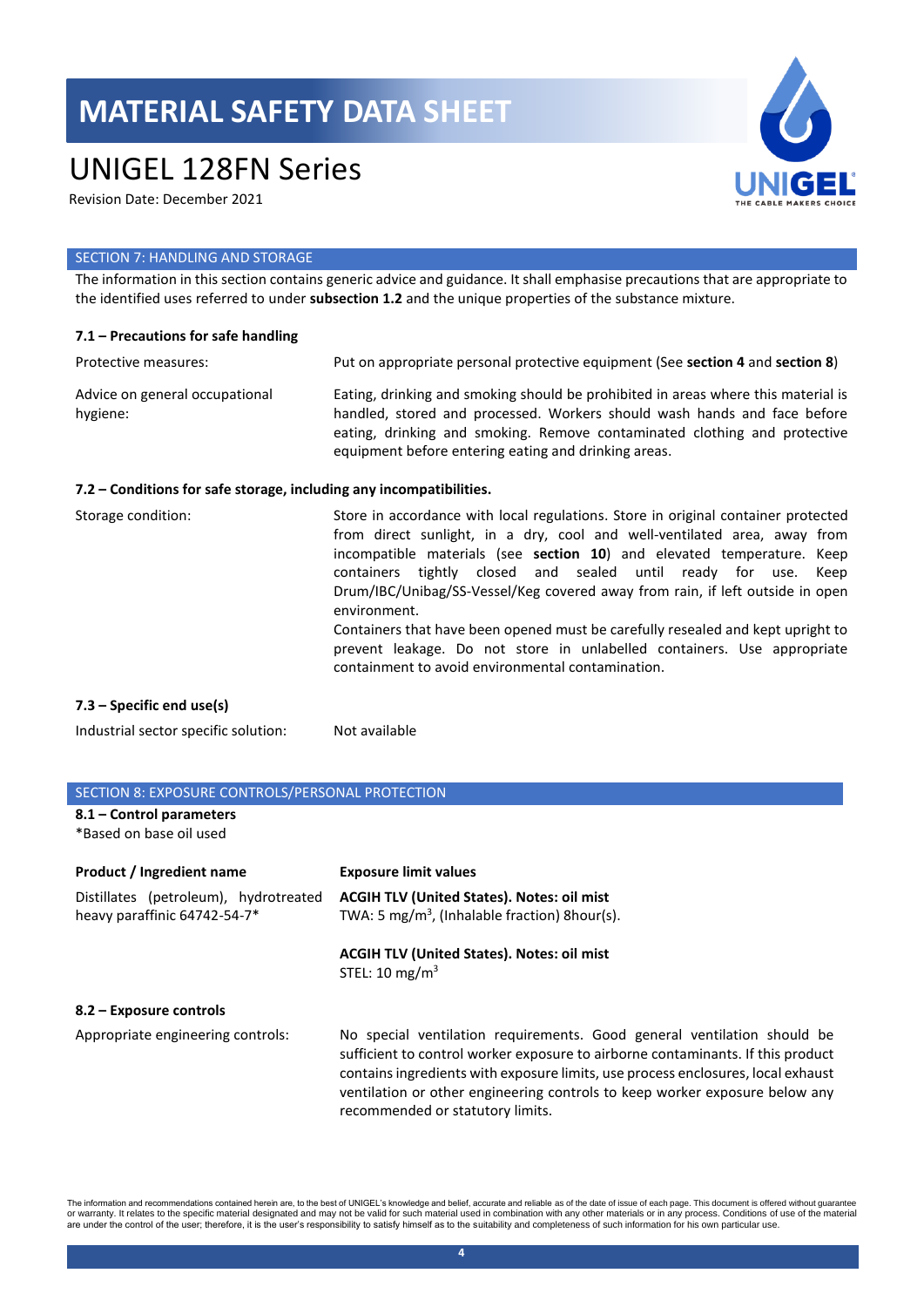## UNIGEL 128FN Series

Revision Date: December 2021



#### SECTION 7: HANDLING AND STORAGE

The information in this section contains generic advice and guidance. It shall emphasise precautions that are appropriate to the identified uses referred to under **subsection 1.2** and the unique properties of the substance mixture.

#### **7.1 – Precautions for safe handling**

| Protective measures:                       | Put on appropriate personal protective equipment (See section 4 and section 8)                                                                                                                                                                                                                     |
|--------------------------------------------|----------------------------------------------------------------------------------------------------------------------------------------------------------------------------------------------------------------------------------------------------------------------------------------------------|
| Advice on general occupational<br>hygiene: | Eating, drinking and smoking should be prohibited in areas where this material is<br>handled, stored and processed. Workers should wash hands and face before<br>eating, drinking and smoking. Remove contaminated clothing and protective<br>equipment before entering eating and drinking areas. |

#### **7.2 – Conditions for safe storage, including any incompatibilities.**

| Storage condition:          | Store in accordance with local regulations. Store in original container protected<br>from direct sunlight, in a dry, cool and well-ventilated area, away from<br>incompatible materials (see section 10) and elevated temperature. Keep<br>containers tightly closed and sealed until ready for use. Keep<br>Drum/IBC/Unibag/SS-Vessel/Keg covered away from rain, if left outside in open<br>environment.<br>Containers that have been opened must be carefully resealed and kept upright to<br>prevent leakage. Do not store in unlabelled containers. Use appropriate<br>containment to avoid environmental contamination. |
|-----------------------------|-------------------------------------------------------------------------------------------------------------------------------------------------------------------------------------------------------------------------------------------------------------------------------------------------------------------------------------------------------------------------------------------------------------------------------------------------------------------------------------------------------------------------------------------------------------------------------------------------------------------------------|
| $7.3$ – Specific end use(s) |                                                                                                                                                                                                                                                                                                                                                                                                                                                                                                                                                                                                                               |

Industrial sector specific solution: Not available

## SECTION 8: EXPOSURE CONTROLS/PERSONAL PROTECTION

## **8.1 – Control parameters**

\*Based on base oil used

| Product / Ingredient name                                             | <b>Exposure limit values</b>                                                                                                                                                                                                                                                                                                  |
|-----------------------------------------------------------------------|-------------------------------------------------------------------------------------------------------------------------------------------------------------------------------------------------------------------------------------------------------------------------------------------------------------------------------|
| Distillates (petroleum), hydrotreated<br>heavy paraffinic 64742-54-7* | <b>ACGIH TLV (United States). Notes: oil mist</b><br>TWA: 5 mg/m <sup>3</sup> , (Inhalable fraction) 8 hour(s).                                                                                                                                                                                                               |
|                                                                       | <b>ACGIH TLV (United States). Notes: oil mist</b><br>STEL: 10 mg/m <sup>3</sup>                                                                                                                                                                                                                                               |
| 8.2 – Exposure controls                                               |                                                                                                                                                                                                                                                                                                                               |
| Appropriate engineering controls:                                     | No special ventilation requirements. Good general ventilation should be<br>sufficient to control worker exposure to airborne contaminants. If this product<br>contains ingredients with exposure limits, use process enclosures, local exhaust<br>ventilation or other engineering controls to keep worker exposure below any |

The information and recommendations contained herein are, to the best of UNIGEL's knowledge and belief, accurate and reliable as of the date of issue of each page. This document is offered without guarantee or warranty. It relates to the specific material designated and may not be valid for such material used in combination with any other materials or in any process. Conditions of use of the material<br>are under the control of

recommended or statutory limits.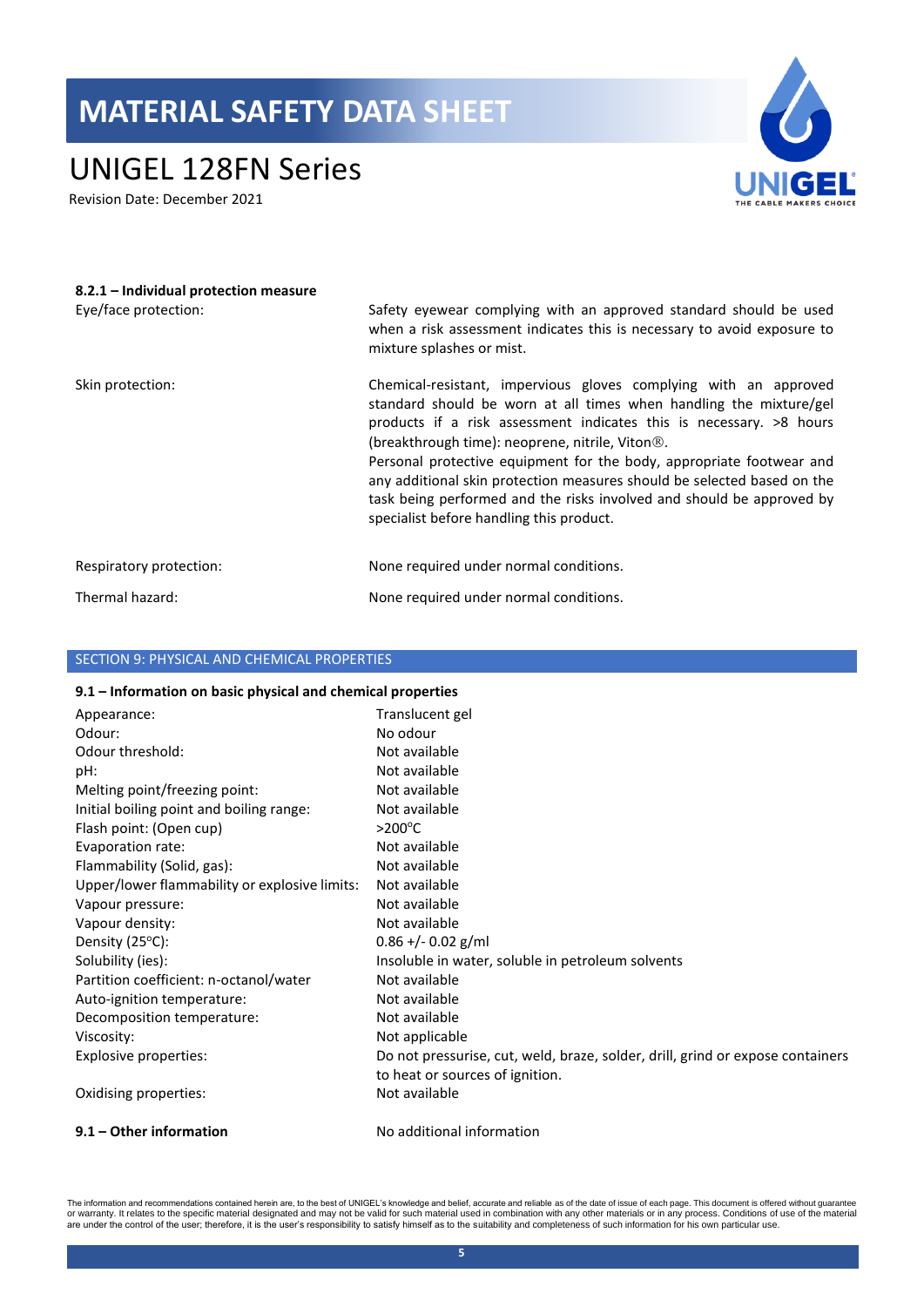## UNIGEL 128FN Series

Revision Date: December 2021



| 8.2.1 – Individual protection measure<br>Eye/face protection: | Safety eyewear complying with an approved standard should be used<br>when a risk assessment indicates this is necessary to avoid exposure to<br>mixture splashes or mist.                                                                                                                                                                                                                                                                                                                                                                             |
|---------------------------------------------------------------|-------------------------------------------------------------------------------------------------------------------------------------------------------------------------------------------------------------------------------------------------------------------------------------------------------------------------------------------------------------------------------------------------------------------------------------------------------------------------------------------------------------------------------------------------------|
| Skin protection:                                              | Chemical-resistant, impervious gloves complying with an approved<br>standard should be worn at all times when handling the mixture/gel<br>products if a risk assessment indicates this is necessary. >8 hours<br>(breakthrough time): neoprene, nitrile, Viton <sup>®</sup> .<br>Personal protective equipment for the body, appropriate footwear and<br>any additional skin protection measures should be selected based on the<br>task being performed and the risks involved and should be approved by<br>specialist before handling this product. |
| Respiratory protection:                                       | None required under normal conditions.                                                                                                                                                                                                                                                                                                                                                                                                                                                                                                                |
| Thermal hazard:                                               | None required under normal conditions.                                                                                                                                                                                                                                                                                                                                                                                                                                                                                                                |

## SECTION 9: PHYSICAL AND CHEMICAL PROPERTIES

#### **9.1 – Information on basic physical and chemical properties**

| Appearance:                                   | Translucent gel                                                                |
|-----------------------------------------------|--------------------------------------------------------------------------------|
| Odour:                                        | No odour                                                                       |
| Odour threshold:                              | Not available                                                                  |
| pH:                                           | Not available                                                                  |
| Melting point/freezing point:                 | Not available                                                                  |
| Initial boiling point and boiling range:      | Not available                                                                  |
| Flash point: (Open cup)                       | $>$ 200 $^{\circ}$ C                                                           |
| Evaporation rate:                             | Not available                                                                  |
| Flammability (Solid, gas):                    | Not available                                                                  |
| Upper/lower flammability or explosive limits: | Not available                                                                  |
| Vapour pressure:                              | Not available                                                                  |
| Vapour density:                               | Not available                                                                  |
| Density (25°C):                               | $0.86 + -0.02$ g/ml                                                            |
| Solubility (ies):                             | Insoluble in water, soluble in petroleum solvents                              |
| Partition coefficient: n-octanol/water        | Not available                                                                  |
| Auto-ignition temperature:                    | Not available                                                                  |
| Decomposition temperature:                    | Not available                                                                  |
| Viscosity:                                    | Not applicable                                                                 |
| Explosive properties:                         | Do not pressurise, cut, weld, braze, solder, drill, grind or expose containers |
|                                               | to heat or sources of ignition.                                                |
| Oxidising properties:                         | Not available                                                                  |
| 9.1 – Other information                       | No additional information                                                      |

The information and recommendations contained herein are, to the best of UNIGEL's knowledge and belief, accurate and reliable as of the date of issue of each page. This document is offered without guarantee<br>or warranty. It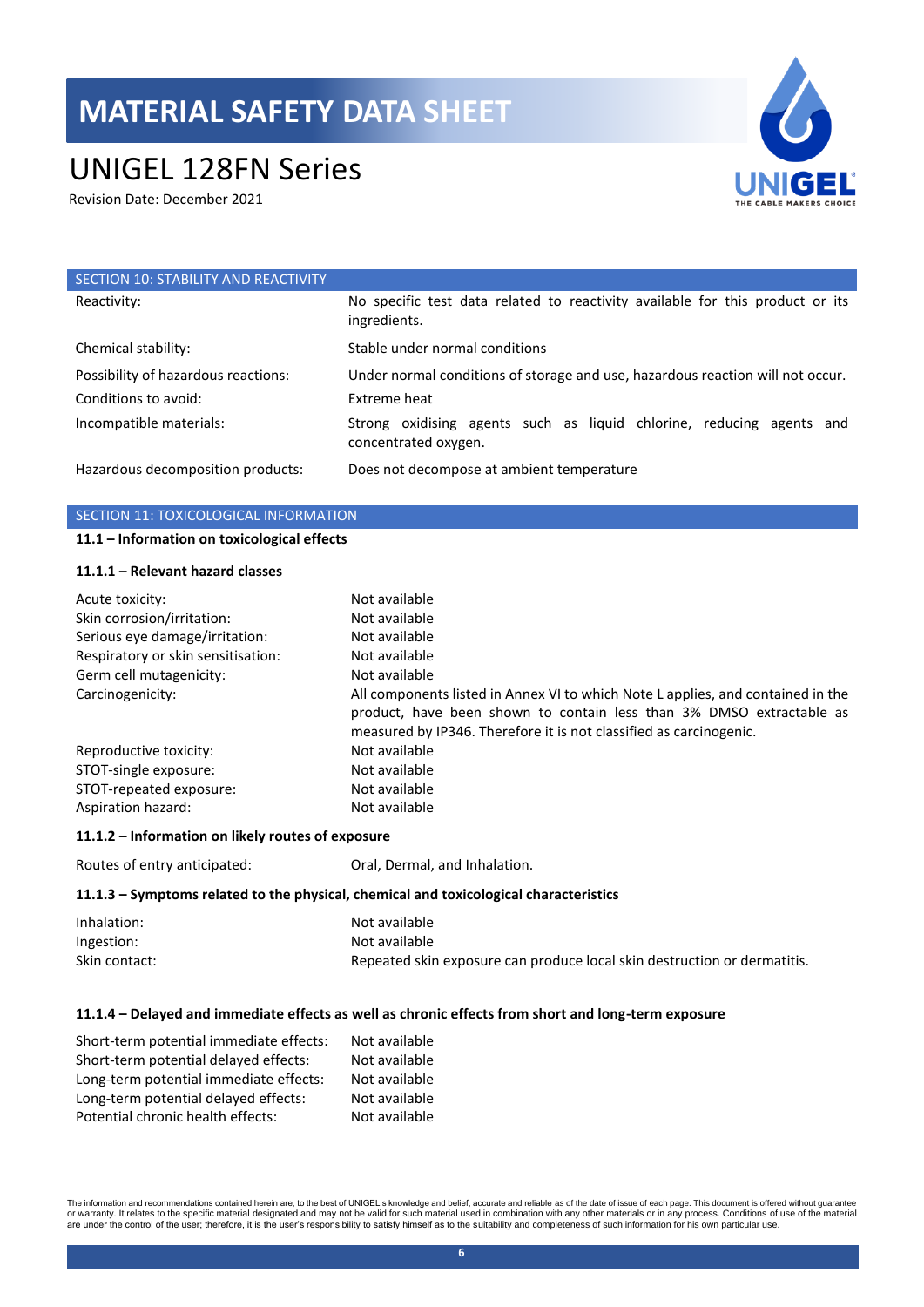# UNIGEL 128FN Series

Revision Date: December 2021



| SECTION 10: STABILITY AND REACTIVITY |                                                                                               |
|--------------------------------------|-----------------------------------------------------------------------------------------------|
| Reactivity:                          | No specific test data related to reactivity available for this product or its<br>ingredients. |
| Chemical stability:                  | Stable under normal conditions                                                                |
| Possibility of hazardous reactions:  | Under normal conditions of storage and use, hazardous reaction will not occur.                |
| Conditions to avoid:                 | Extreme heat                                                                                  |
| Incompatible materials:              | Strong oxidising agents such as liquid chlorine, reducing agents and<br>concentrated oxygen.  |
| Hazardous decomposition products:    | Does not decompose at ambient temperature                                                     |

#### SECTION 11: TOXICOLOGICAL INFORMATION

#### **11.1 – Information on toxicological effects**

### **11.1.1 – Relevant hazard classes**

| Acute toxicity:                    | Not available                                                                                                                                                                                                                 |
|------------------------------------|-------------------------------------------------------------------------------------------------------------------------------------------------------------------------------------------------------------------------------|
| Skin corrosion/irritation:         | Not available                                                                                                                                                                                                                 |
| Serious eye damage/irritation:     | Not available                                                                                                                                                                                                                 |
| Respiratory or skin sensitisation: | Not available                                                                                                                                                                                                                 |
| Germ cell mutagenicity:            | Not available                                                                                                                                                                                                                 |
| Carcinogenicity:                   | All components listed in Annex VI to which Note L applies, and contained in the<br>product, have been shown to contain less than 3% DMSO extractable as<br>measured by IP346. Therefore it is not classified as carcinogenic. |
| Reproductive toxicity:             | Not available                                                                                                                                                                                                                 |
| STOT-single exposure:              | Not available                                                                                                                                                                                                                 |
| STOT-repeated exposure:            | Not available                                                                                                                                                                                                                 |
| Aspiration hazard:                 | Not available                                                                                                                                                                                                                 |

## **11.1.2 – Information on likely routes of exposure**

Routes of entry anticipated: Oral, Dermal, and Inhalation.

### **11.1.3 – Symptoms related to the physical, chemical and toxicological characteristics**

| Inhalation:   | Not available                                                            |
|---------------|--------------------------------------------------------------------------|
| Ingestion:    | Not available                                                            |
| Skin contact: | Repeated skin exposure can produce local skin destruction or dermatitis. |

### **11.1.4 – Delayed and immediate effects as well as chronic effects from short and long-term exposure**

| Short-term potential immediate effects: | Not available |
|-----------------------------------------|---------------|
| Short-term potential delayed effects:   | Not available |
| Long-term potential immediate effects:  | Not available |
| Long-term potential delayed effects:    | Not available |
| Potential chronic health effects:       | Not available |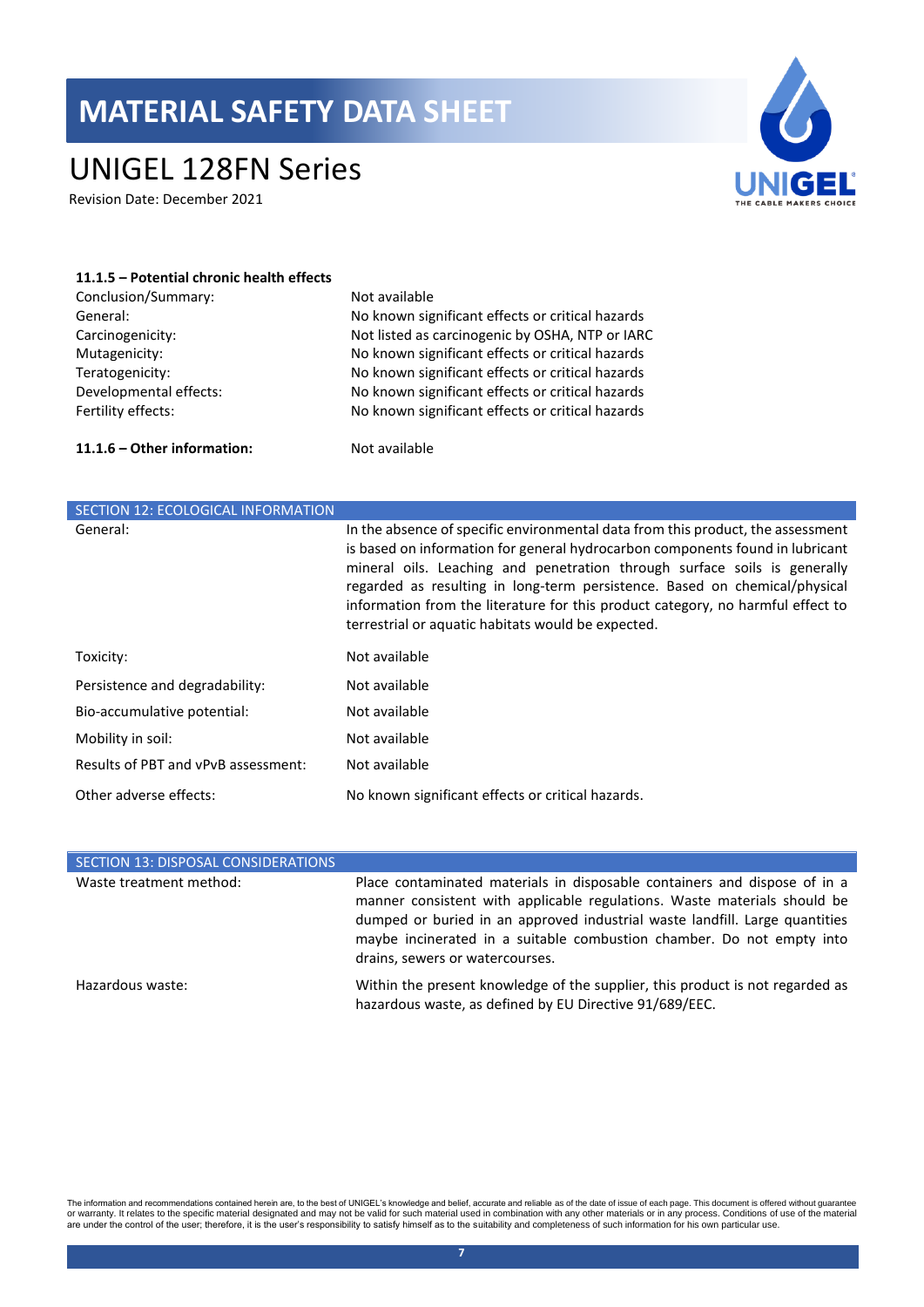## UNIGEL 128FN Series

Revision Date: December 2021



| 11.1.5 – Potential chronic health effects |                                                  |
|-------------------------------------------|--------------------------------------------------|
| Conclusion/Summary:                       | Not available                                    |
| General:                                  | No known significant effects or critical hazards |
| Carcinogenicity:                          | Not listed as carcinogenic by OSHA, NTP or IARC  |
| Mutagenicity:                             | No known significant effects or critical hazards |
| Teratogenicity:                           | No known significant effects or critical hazards |
| Developmental effects:                    | No known significant effects or critical hazards |
| Fertility effects:                        | No known significant effects or critical hazards |
| 11.1.6 – Other information:               | Not available                                    |

| <b>SECTION 12: ECOLOGICAL INFORMATION</b> |                                                                                                                                                                                                                                                                                                                                                                                                                                                                      |
|-------------------------------------------|----------------------------------------------------------------------------------------------------------------------------------------------------------------------------------------------------------------------------------------------------------------------------------------------------------------------------------------------------------------------------------------------------------------------------------------------------------------------|
| General:                                  | In the absence of specific environmental data from this product, the assessment<br>is based on information for general hydrocarbon components found in lubricant<br>mineral oils. Leaching and penetration through surface soils is generally<br>regarded as resulting in long-term persistence. Based on chemical/physical<br>information from the literature for this product category, no harmful effect to<br>terrestrial or aquatic habitats would be expected. |
| Toxicity:                                 | Not available                                                                                                                                                                                                                                                                                                                                                                                                                                                        |
| Persistence and degradability:            | Not available                                                                                                                                                                                                                                                                                                                                                                                                                                                        |
| Bio-accumulative potential:               | Not available                                                                                                                                                                                                                                                                                                                                                                                                                                                        |
| Mobility in soil:                         | Not available                                                                                                                                                                                                                                                                                                                                                                                                                                                        |
| Results of PBT and vPvB assessment:       | Not available                                                                                                                                                                                                                                                                                                                                                                                                                                                        |
| Other adverse effects:                    | No known significant effects or critical hazards.                                                                                                                                                                                                                                                                                                                                                                                                                    |

| SECTION 13: DISPOSAL CONSIDERATIONS |                                                                                                                                                                                                                                                                                                                                                  |
|-------------------------------------|--------------------------------------------------------------------------------------------------------------------------------------------------------------------------------------------------------------------------------------------------------------------------------------------------------------------------------------------------|
| Waste treatment method:             | Place contaminated materials in disposable containers and dispose of in a<br>manner consistent with applicable regulations. Waste materials should be<br>dumped or buried in an approved industrial waste landfill. Large quantities<br>maybe incinerated in a suitable combustion chamber. Do not empty into<br>drains, sewers or watercourses. |
| Hazardous waste:                    | Within the present knowledge of the supplier, this product is not regarded as<br>hazardous waste, as defined by EU Directive 91/689/EEC.                                                                                                                                                                                                         |

The information and recommendations contained herein are, to the best of UNIGEL's knowledge and belief, accurate and reliable as of the date of issue of each page. This document is offered without guarantee<br>or warranty. It